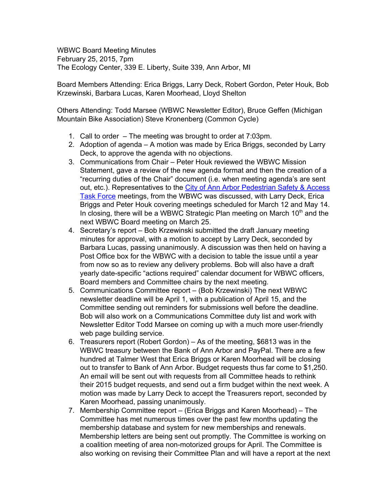WBWC Board Meeting Minutes February 25, 2015, 7pm The Ecology Center, 339 E. Liberty, Suite 339, Ann Arbor, MI

Board Members Attending: Erica Briggs, Larry Deck, Robert Gordon, Peter Houk, Bob Krzewinski, Barbara Lucas, Karen Moorhead, Lloyd Shelton

Others Attending: Todd Marsee (WBWC Newsletter Editor), Bruce Geffen (Michigan Mountain Bike Association) Steve Kronenberg (Common Cycle)

- 1. Call to order The meeting was brought to order at 7:03pm.
- 2. Adoption of agenda A motion was made by Erica Briggs, seconded by Larry Deck, to approve the agenda with no objections.
- 3. Communications from Chair Peter Houk reviewed the WBWC Mission Statement, gave a review of the new agenda format and then the creation of a "recurring duties of the Chair" document (i.e. when meeting agenda's are sent out, etc.). Representatives to the City of Ann Arbor [Pedestrian](http://www.a2gov.org/departments/systems-planning/Transportation/Pages/Pedestrian-Safety-and-Access-Task-Force.aspx) Safety & Access Task [Force](http://www.a2gov.org/departments/systems-planning/Transportation/Pages/Pedestrian-Safety-and-Access-Task-Force.aspx) meetings, from the WBWC was discussed, with Larry Deck, Erica Briggs and Peter Houk covering meetings scheduled for March 12 and May 14. In closing, there will be a WBWC Strategic Plan meeting on March 10<sup>th</sup> and the next WBWC Board meeting on March 25.
- 4. Secretary's report Bob Krzewinski submitted the draft January meeting minutes for approval, with a motion to accept by Larry Deck, seconded by Barbara Lucas, passing unanimously. A discussion was then held on having a Post Office box for the WBWC with a decision to table the issue until a year from now so as to review any delivery problems. Bob will also have a draft yearly date-specific "actions required" calendar document for WBWC officers, Board members and Committee chairs by the next meeting.
- 5. Communications Committee report (Bob Krzewinski) The next WBWC newsletter deadline will be April 1, with a publication of April 15, and the Committee sending out reminders for submissions well before the deadline. Bob will also work on a Communications Committee duty list and work with Newsletter Editor Todd Marsee on coming up with a much more user-friendly web page building service.
- 6. Treasurers report (Robert Gordon) As of the meeting, \$6813 was in the WBWC treasury between the Bank of Ann Arbor and PayPal. There are a few hundred at Talmer West that Erica Briggs or Karen Moorhead will be closing out to transfer to Bank of Ann Arbor. Budget requests thus far come to \$1,250. An email will be sent out with requests from all Committee heads to rethink their 2015 budget requests, and send out a firm budget within the next week. A motion was made by Larry Deck to accept the Treasurers report, seconded by Karen Moorhead, passing unanimously.
- 7. Membership Committee report (Erica Briggs and Karen Moorhead) The Committee has met numerous times over the past few months updating the membership database and system for new memberships and renewals. Membership letters are being sent out promptly. The Committee is working on a coalition meeting of area non-motorized groups for April. The Committee is also working on revising their Committee Plan and will have a report at the next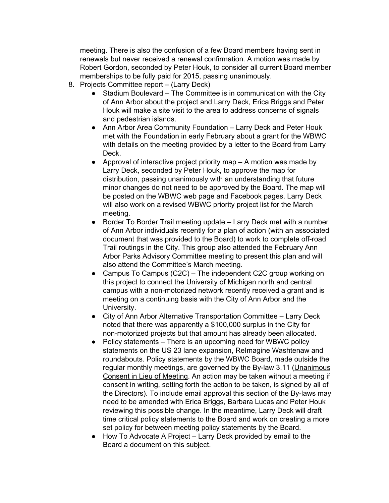meeting. There is also the confusion of a few Board members having sent in renewals but never received a renewal confirmation. A motion was made by Robert Gordon, seconded by Peter Houk, to consider all current Board member memberships to be fully paid for 2015, passing unanimously.

- 8. Projects Committee report (Larry Deck)
	- Stadium Boulevard The Committee is in communication with the City of Ann Arbor about the project and Larry Deck, Erica Briggs and Peter Houk will make a site visit to the area to address concerns of signals and pedestrian islands.
	- Ann Arbor Area Community Foundation Larry Deck and Peter Houk met with the Foundation in early February about a grant for the WBWC with details on the meeting provided by a letter to the Board from Larry Deck.
	- Approval of interactive project priority map  $A$  motion was made by Larry Deck, seconded by Peter Houk, to approve the map for distribution, passing unanimously with an understanding that future minor changes do not need to be approved by the Board. The map will be posted on the WBWC web page and Facebook pages. Larry Deck will also work on a revised WBWC priority project list for the March meeting.
	- Border To Border Trail meeting update Larry Deck met with a number of Ann Arbor individuals recently for a plan of action (with an associated document that was provided to the Board) to work to complete off-road Trail routings in the City. This group also attended the February Ann Arbor Parks Advisory Committee meeting to present this plan and will also attend the Committee's March meeting.
	- Campus To Campus (C2C) The independent C2C group working on this project to connect the University of Michigan north and central campus with a non-motorized network recently received a grant and is meeting on a continuing basis with the City of Ann Arbor and the University.
	- City of Ann Arbor Alternative Transportation Committee Larry Deck noted that there was apparently a \$100,000 surplus in the City for non-motorized projects but that amount has already been allocated.
	- Policy statements There is an upcoming need for WBWC policy statements on the US 23 lane expansion, ReImagine Washtenaw and roundabouts. Policy statements by the WBWC Board, made outside the regular monthly meetings, are governed by the By-law 3.11 (Unanimous Consent in Lieu of Meeting. An action may be taken without a meeting if consent in writing, setting forth the action to be taken, is signed by all of the Directors). To include email approval this section of the By-laws may need to be amended with Erica Briggs, Barbara Lucas and Peter Houk reviewing this possible change. In the meantime, Larry Deck will draft time critical policy statements to the Board and work on creating a more set policy for between meeting policy statements by the Board.
	- How To Advocate A Project Larry Deck provided by email to the Board a document on this subject.